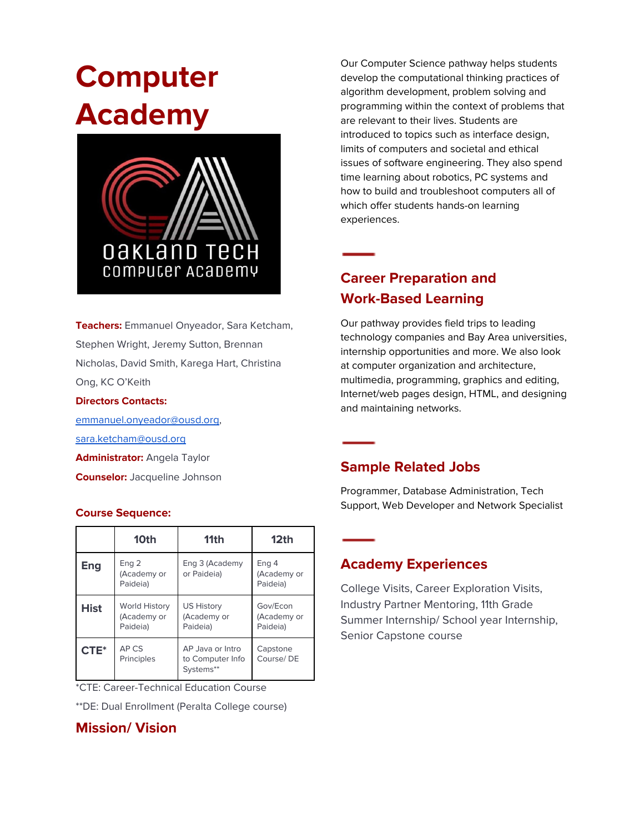# **Computer Academy**



**Teachers:** Emmanuel Onyeador, Sara Ketcham, Stephen Wright, Jeremy Sutton, Brennan Nicholas, David Smith, Karega Hart, Christina Ong, KC O'Keith

#### **Directors Contacts:**

[emmanuel.onyeador@ousd.org](mailto:emmanuel.onyeador@ousd.org), [sara.ketcham@ousd.org](mailto:sara.ketcham@ousd.org) **Administrator:** Angela Taylor **Counselor:** Jacqueline Johnson

#### **Course Sequence:**

|             | 10th                                            | 11 <sub>th</sub>                                  | 12 <sub>th</sub>                    |
|-------------|-------------------------------------------------|---------------------------------------------------|-------------------------------------|
| Eng         | Eng 2<br>(Academy or<br>Paideia)                | Eng 3 (Academy<br>or Paideia)                     | Eng 4<br>(Academy or<br>Paideia)    |
| <b>Hist</b> | <b>World History</b><br>(Academy or<br>Paideia) | <b>US History</b><br>(Academy or<br>Paideia)      | Gov/Econ<br>(Academy or<br>Paideia) |
| $CTE^*$     | AP CS<br>Principles                             | AP Java or Intro<br>to Computer Info<br>Systems** | Capstone<br>Course/DE               |

\*CTE: Career-Technical Education Course

\*\*DE: Dual Enrollment (Peralta College course)

#### **Mission/ Vision**

Our Computer Science pathway helps students develop the computational thinking practices of algorithm development, problem solving and programming within the context of problems that are relevant to their lives. Students are introduced to topics such as interface design, limits of computers and societal and ethical issues of software engineering. They also spend time learning about robotics, PC systems and how to build and troubleshoot computers all of which offer students hands-on learning experiences.

# **Career Preparation and Work-Based Learning**

Our pathway provides field trips to leading technology companies and Bay Area universities, internship opportunities and more. We also look at computer organization and architecture, multimedia, programming, graphics and editing, Internet/web pages design, HTML, and designing and maintaining networks.

#### **Sample Related Jobs**

Programmer, Database Administration, Tech Support, Web Developer and Network Specialist

#### **Academy Experiences**

College Visits, Career Exploration Visits, Industry Partner Mentoring, 11th Grade Summer Internship/ School year Internship, Senior Capstone course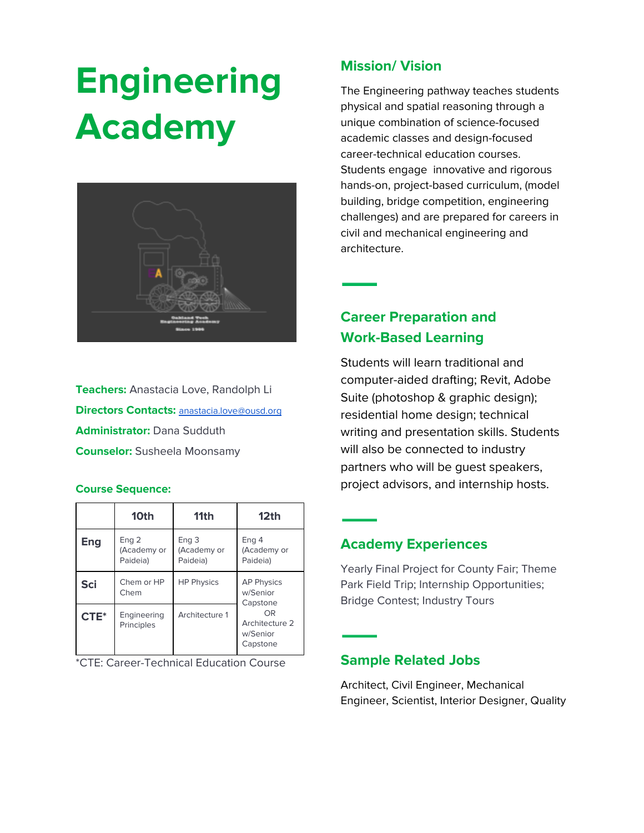# **Engineering Academy**



**Teachers:** Anastacia Love, Randolph Li **Directors Contacts:** [anastacia.love@ousd.org](mailto:anastacia.love@ousd.org) **Administrator:** Dana Sudduth **Counselor:** Susheela Moonsamy

#### **Course Sequence:**

|            | 10th                                        | 11th                                        | 12 <sub>th</sub>                                                                          |
|------------|---------------------------------------------|---------------------------------------------|-------------------------------------------------------------------------------------------|
| Eng        | Eng <sub>2</sub><br>(Academy or<br>Paideia) | Eng <sub>3</sub><br>(Academy or<br>Paideia) | Eng 4<br>(Academy or<br>Paideia)                                                          |
| <b>Sci</b> | Chem or HP<br>Chem                          | <b>HP Physics</b>                           | <b>AP Physics</b><br>w/Senior<br>Capstone<br>OR<br>Architecture 2<br>w/Senior<br>Capstone |
| CTE*       | Engineering<br>Principles                   | Architecture 1                              |                                                                                           |

\*CTE: Career-Technical Education Course

#### **Mission/ Vision**

The Engineering pathway teaches students physical and spatial reasoning through a unique combination of science-focused academic classes and design-focused career-technical education courses. Students engage innovative and rigorous hands-on, project-based curriculum, (model building, bridge competition, engineering challenges) and are prepared for careers in civil and mechanical engineering and architecture.

## **Career Preparation and Work-Based Learning**

Students will learn traditional and computer-aided drafting; Revit, Adobe Suite (photoshop & graphic design); residential home design; technical writing and presentation skills. Students will also be connected to industry partners who will be guest speakers, project advisors, and internship hosts.

#### **Academy Experiences**

Yearly Final Project for County Fair; Theme Park Field Trip; Internship Opportunities; Bridge Contest; Industry Tours

#### **Sample Related Jobs**

Architect, Civil Engineer, Mechanical Engineer, Scientist, Interior Designer, Quality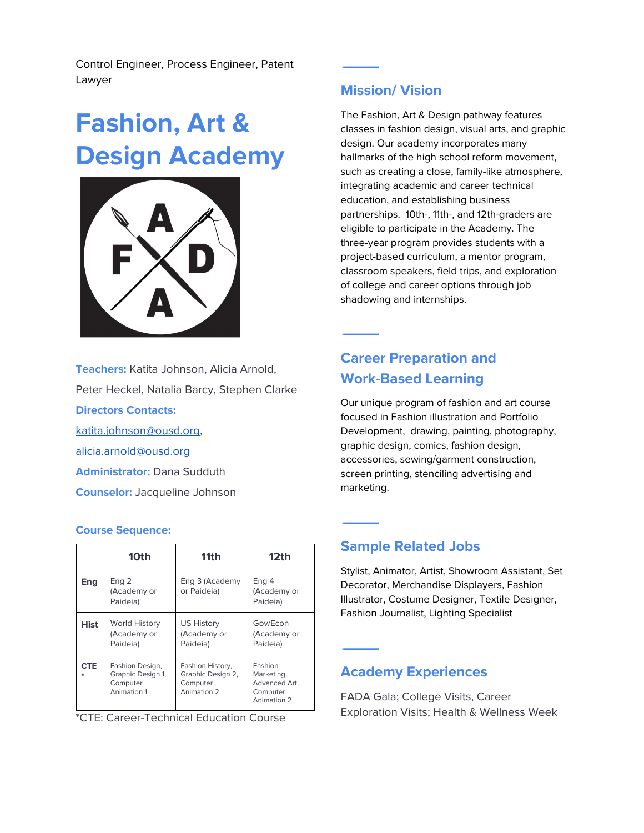Control Engineer, Process Engineer, Patent Lawyer

# **Fashion, Art & Design Academy**



**Teachers:** Katita Johnson, Alicia Arnold, Peter Heckel, Natalia Barcy, Stephen Clarke **Directors Contacts:** [katita.johnson@ousd.org](mailto:katita.johnson@ousd.org), [alicia.arnold@ousd.org](mailto:alicia.arnold@ousd.org) **Administrator:** Dana Sudduth **Counselor:** Jacqueline Johnson

#### **Course Sequence:**

|             | 10th                                                            | 11th                                                             | 12 <sub>th</sub>                                                  |
|-------------|-----------------------------------------------------------------|------------------------------------------------------------------|-------------------------------------------------------------------|
| Eng         | Eng <sub>2</sub><br>(Academy or<br>Paideia)                     | Eng 3 (Academy<br>or Paideia)                                    | Eng 4<br>(Academy or<br>Paideia)                                  |
| <b>Hist</b> | <b>World History</b><br>(Academy or<br>Paideia)                 | US History<br>(Academy or<br>Paideia)                            | Gov/Econ<br>(Academy or<br>Paideia)                               |
| <b>CTE</b>  | Fashion Design,<br>Graphic Design 1,<br>Computer<br>Animation 1 | Fashion History,<br>Graphic Design 2,<br>Computer<br>Animation 2 | Fashion<br>Marketing,<br>Advanced Art.<br>Computer<br>Animation 2 |

\*CTE: Career-Technical Education Course

#### **Mission/ Vision**

The Fashion, Art & Design [pathway](http://oaklandfada.org/) features classes in fashion design, visual arts, and graphic design. Our academy incorporates many hallmarks of the high school reform movement, such as creating a close, family-like atmosphere, integrating academic and career technical education, and establishing business partnerships. 10th-, 11th-, and 12th-graders are eligible to participate in the Academy. The three-year program provides students with a project-based curriculum, a mentor program, classroom speakers, field trips, and exploration of college and career options through job shadowing and internships.

## **Career Preparation and Work-Based Learning**

Our unique program of fashion and art course focused in Fashion illustration and Portfolio Development, drawing, painting, photography, graphic design, comics, fashion design, accessories, sewing/garment construction, screen printing, stenciling advertising and marketing.

#### **Sample Related Jobs**

Stylist, Animator, Artist, Showroom Assistant, Set Decorator, Merchandise Displayers, Fashion Illustrator, Costume Designer, Textile Designer, Fashion Journalist, Lighting Specialist

#### **Academy Experiences**

FADA Gala; College Visits, Career Exploration Visits; Health & Wellness Week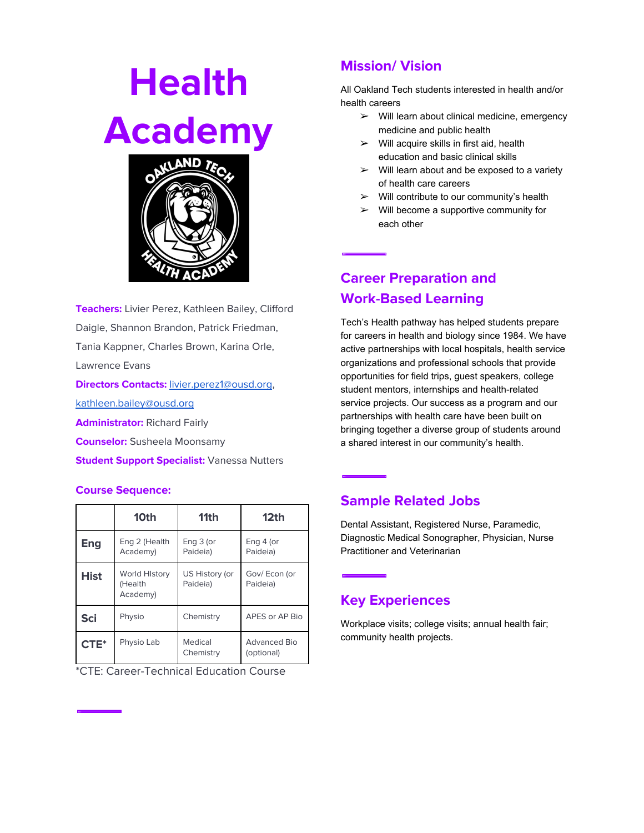# **Health Academy**



**Teachers:** Livier Perez, Kathleen Bailey, Clifford Daigle, Shannon Brandon, Patrick Friedman, Tania Kappner, Charles Brown, Karina Orle, Lawrence Evans **Directors Contacts:** [livier.perez1@ousd.org](mailto:livier.perez1@ousd.org), [kathleen.bailey@ousd.org](mailto:kathleen.bailey@ousd.org) **Administrator:** Richard Fairly **Counselor:** Susheela Moonsamy **Student Support Specialist:** Vanessa Nutters

#### **Course Sequence:**

|            | 10th                                        | 11 <sub>th</sub>           | 12 <sub>th</sub>           |
|------------|---------------------------------------------|----------------------------|----------------------------|
| Eng        | Eng 2 (Health<br>Academy)                   | Eng 3 (or<br>Paideia)      | Eng 4 (or<br>Paideia)      |
| Hist       | <b>World History</b><br>(Health<br>Academy) | US History (or<br>Paideia) | Gov/Econ (or<br>Paideia)   |
| <b>Sci</b> | Physio                                      | Chemistry                  | APES or AP Bio             |
| $CTE^*$    | Physio Lab                                  | Medical<br>Chemistry       | Advanced Bio<br>(optional) |

\*CTE: Career-Technical Education Course

### **Mission/ Vision**

All Oakland Tech students interested in health and/or health careers

- $\triangleright$  Will learn about clinical medicine, emergency medicine and public health
- $\triangleright$  Will acquire skills in first aid, health education and basic clinical skills
- $\triangleright$  Will learn about and be exposed to a variety of health care careers
- $\triangleright$  Will contribute to our community's health
- $\triangleright$  Will become a supportive community for each other

**Career Preparation and Work-Based Learning**

Tech's Health pathway has helped students prepare for careers in health and biology since 1984. We have active partnerships with local hospitals, health service organizations and professional schools that provide opportunities for field trips, guest speakers, college student mentors, internships and health-related service projects. Our success as a program and our partnerships with health care have been built on bringing together a diverse group of students around a shared interest in our community's health.

### **Sample Related Jobs**

Dental Assistant, Registered Nurse, Paramedic, Diagnostic Medical Sonographer, Physician, Nurse Practitioner and Veterinarian

### **Key Experiences**

Workplace visits; college visits; annual health fair; community health projects.